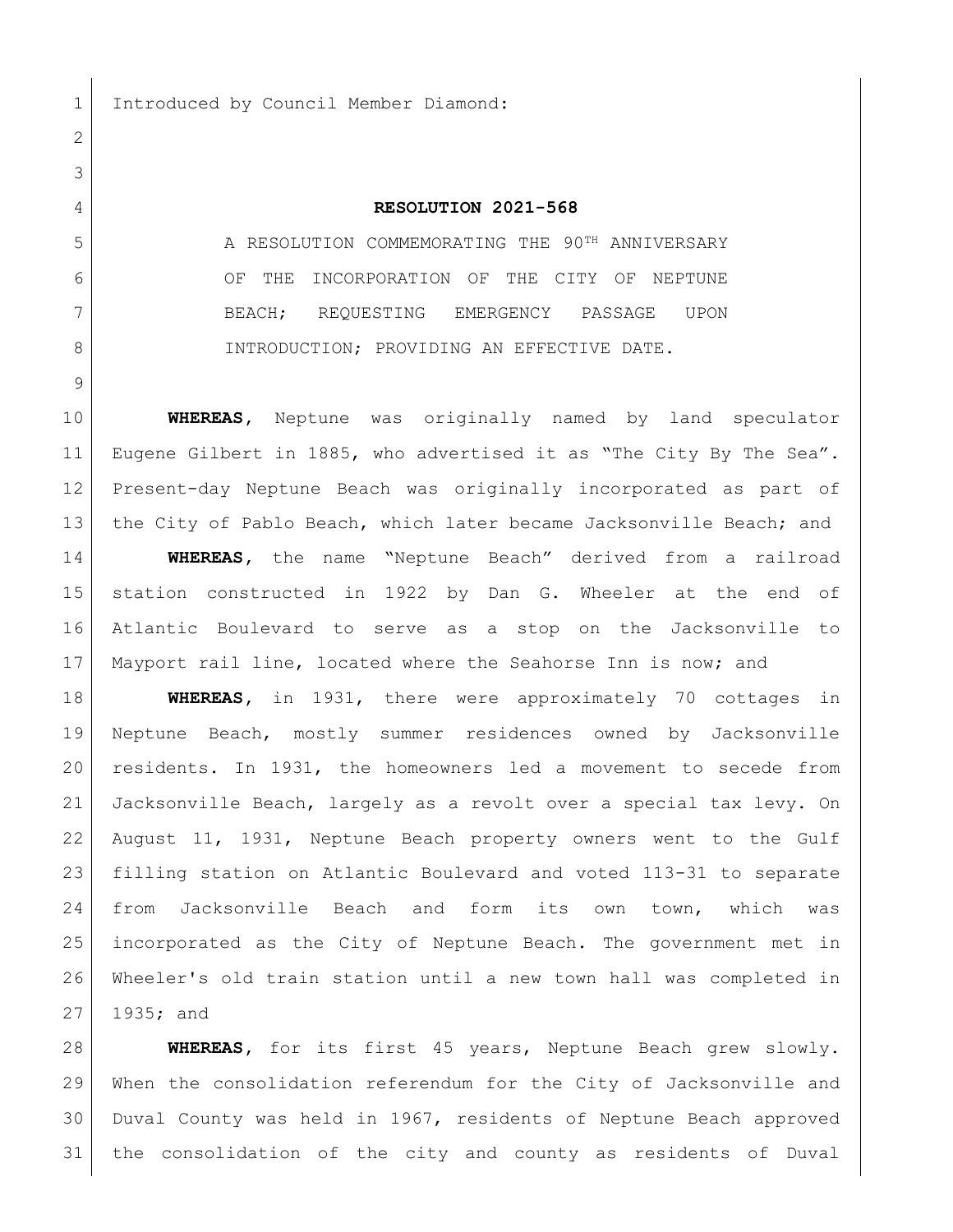Introduced by Council Member Diamond:

## **RESOLUTION 2021-568**

5 A RESOLUTION COMMEMORATING THE 90<sup>TH</sup> ANNIVERSARY 6 OF THE INCORPORATION OF THE CITY OF NEPTUNE BEACH; REQUESTING EMERGENCY PASSAGE UPON 8 | INTRODUCTION; PROVIDING AN EFFECTIVE DATE.

 **WHEREAS,** Neptune was originally named by land speculator 11 Eugene Gilbert in 1885, who advertised it as "The City By The Sea". Present-day Neptune Beach was originally incorporated as part of 13 the City of Pablo Beach, which later became Jacksonville Beach; and **WHEREAS,** the name "Neptune Beach" derived from a railroad station constructed in 1922 by Dan G. Wheeler at the end of Atlantic Boulevard to serve as a stop on the Jacksonville to Mayport rail line, located where the Seahorse Inn is now; and

 **WHEREAS,** in 1931, there were approximately 70 cottages in Neptune Beach, mostly summer residences owned by Jacksonville residents. In 1931, the homeowners led a movement to secede from Jacksonville Beach, largely as a revolt over a special tax levy. On August 11, 1931, Neptune Beach property owners went to the Gulf filling station on Atlantic Boulevard and voted 113-31 to separate from Jacksonville Beach and form its own town, which was incorporated as the City of Neptune Beach. The government met in Wheeler's old train station until a new town hall was completed in 1935; and

 **WHEREAS,** for its first 45 years, Neptune Beach grew slowly. When the consolidation referendum for the City of Jacksonville and Duval County was held in 1967, residents of Neptune Beach approved the consolidation of the city and county as residents of Duval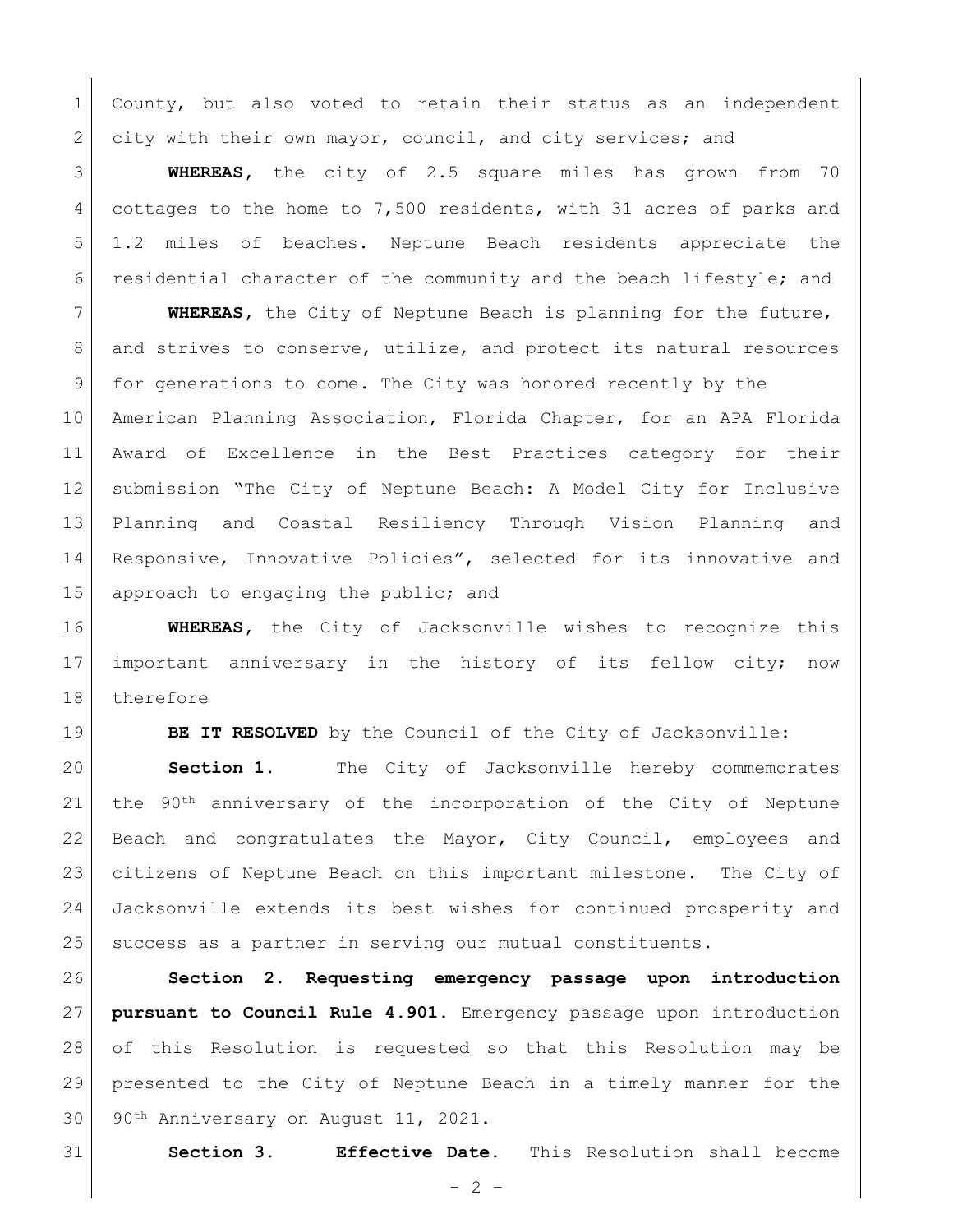County, but also voted to retain their status as an independent 2 city with their own mayor, council, and city services; and

 **WHEREAS,** the city of 2.5 square miles has grown from 70 cottages to the home to 7,500 residents, with 31 acres of parks and 1.2 miles of beaches. Neptune Beach residents appreciate the residential character of the community and the beach lifestyle; and

 **WHEREAS,** the City of Neptune Beach is planning for the future, 8 and strives to conserve, utilize, and protect its natural resources for generations to come. The City was honored recently by the American Planning Association, Florida Chapter, for an APA Florida Award of Excellence in the Best Practices category for their submission "The City of Neptune Beach: A Model City for Inclusive Planning and Coastal Resiliency Through Vision Planning and 14 Responsive, Innovative Policies", selected for its innovative and 15 approach to engaging the public; and

 **WHEREAS,** the City of Jacksonville wishes to recognize this important anniversary in the history of its fellow city; now therefore

**BE IT RESOLVED** by the Council of the City of Jacksonville:

 **Section 1.** The City of Jacksonville hereby commemorates 21 the  $90<sup>th</sup>$  anniversary of the incorporation of the City of Neptune Beach and congratulates the Mayor, City Council, employees and citizens of Neptune Beach on this important milestone. The City of Jacksonville extends its best wishes for continued prosperity and 25 | success as a partner in serving our mutual constituents.

 **Section 2. Requesting emergency passage upon introduction pursuant to Council Rule 4.901.** Emergency passage upon introduction of this Resolution is requested so that this Resolution may be presented to the City of Neptune Beach in a timely manner for the 30 90<sup>th</sup> Anniversary on August 11, 2021.

**Section 3. Effective Date.** This Resolution shall become